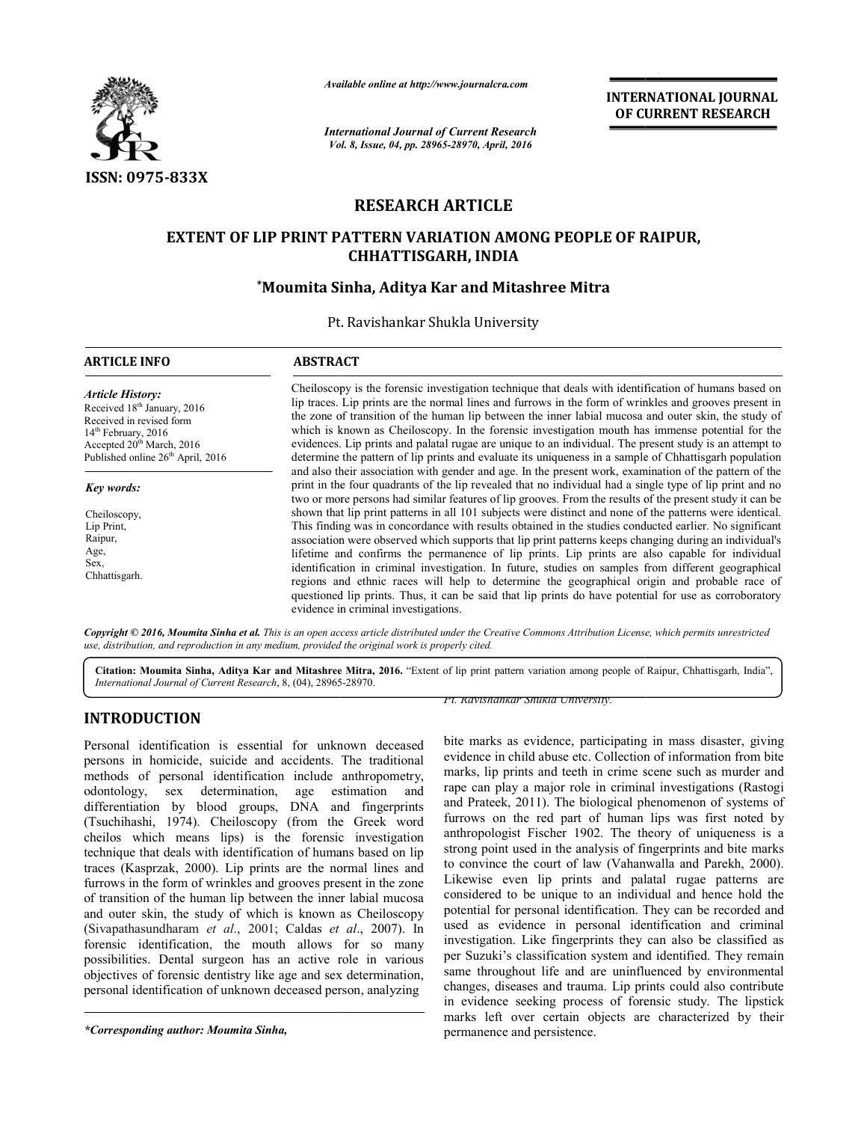

*Available online at http://www.journal http://www.journalcra.com*

# **RESEARCH ARTICLE**

# EXTENT OF LIP PRINT PATTERN VARIATION AMONG PEOPLE OF RAIPUR,<br>CHHATTISGARH, INDIA

# **\*Moumita Sinha Moumita Sinha, Aditya Kar and Mitashree Mitra**

|                                                                                                                                                                                                                                                                                                                                                                                                                                                                                                                                                                                                                                                                                                                                                                                                                                                                                                                                                                                                                                                                                                    | <b>International Journal of Current Research</b>                                                                                                                                                                                                                                                                                                                                                                                                                                                                                                                                                                                                                                                                                                                                                                                                                                                                                                                                                                                                                                                                                                                                                                                                                                                                                                                                                                                                                                                                                                                                                                                                                                                                                                                              |                                    | <b>INTERNATIONAL JOURNAL</b><br>OF CURRENT RESEARCH                                                                                                                                                                                                                                                                                                                                                                                                                                                                                                                                                                                                                                                                                                                                                                                                                                                                                                                                                                                                                                                                                                                                            |  |
|----------------------------------------------------------------------------------------------------------------------------------------------------------------------------------------------------------------------------------------------------------------------------------------------------------------------------------------------------------------------------------------------------------------------------------------------------------------------------------------------------------------------------------------------------------------------------------------------------------------------------------------------------------------------------------------------------------------------------------------------------------------------------------------------------------------------------------------------------------------------------------------------------------------------------------------------------------------------------------------------------------------------------------------------------------------------------------------------------|-------------------------------------------------------------------------------------------------------------------------------------------------------------------------------------------------------------------------------------------------------------------------------------------------------------------------------------------------------------------------------------------------------------------------------------------------------------------------------------------------------------------------------------------------------------------------------------------------------------------------------------------------------------------------------------------------------------------------------------------------------------------------------------------------------------------------------------------------------------------------------------------------------------------------------------------------------------------------------------------------------------------------------------------------------------------------------------------------------------------------------------------------------------------------------------------------------------------------------------------------------------------------------------------------------------------------------------------------------------------------------------------------------------------------------------------------------------------------------------------------------------------------------------------------------------------------------------------------------------------------------------------------------------------------------------------------------------------------------------------------------------------------------|------------------------------------|------------------------------------------------------------------------------------------------------------------------------------------------------------------------------------------------------------------------------------------------------------------------------------------------------------------------------------------------------------------------------------------------------------------------------------------------------------------------------------------------------------------------------------------------------------------------------------------------------------------------------------------------------------------------------------------------------------------------------------------------------------------------------------------------------------------------------------------------------------------------------------------------------------------------------------------------------------------------------------------------------------------------------------------------------------------------------------------------------------------------------------------------------------------------------------------------|--|
|                                                                                                                                                                                                                                                                                                                                                                                                                                                                                                                                                                                                                                                                                                                                                                                                                                                                                                                                                                                                                                                                                                    | Vol. 8, Issue, 04, pp. 28965-28970, April, 2016                                                                                                                                                                                                                                                                                                                                                                                                                                                                                                                                                                                                                                                                                                                                                                                                                                                                                                                                                                                                                                                                                                                                                                                                                                                                                                                                                                                                                                                                                                                                                                                                                                                                                                                               |                                    |                                                                                                                                                                                                                                                                                                                                                                                                                                                                                                                                                                                                                                                                                                                                                                                                                                                                                                                                                                                                                                                                                                                                                                                                |  |
| <b>ISSN: 0975-833X</b>                                                                                                                                                                                                                                                                                                                                                                                                                                                                                                                                                                                                                                                                                                                                                                                                                                                                                                                                                                                                                                                                             |                                                                                                                                                                                                                                                                                                                                                                                                                                                                                                                                                                                                                                                                                                                                                                                                                                                                                                                                                                                                                                                                                                                                                                                                                                                                                                                                                                                                                                                                                                                                                                                                                                                                                                                                                                               |                                    |                                                                                                                                                                                                                                                                                                                                                                                                                                                                                                                                                                                                                                                                                                                                                                                                                                                                                                                                                                                                                                                                                                                                                                                                |  |
|                                                                                                                                                                                                                                                                                                                                                                                                                                                                                                                                                                                                                                                                                                                                                                                                                                                                                                                                                                                                                                                                                                    |                                                                                                                                                                                                                                                                                                                                                                                                                                                                                                                                                                                                                                                                                                                                                                                                                                                                                                                                                                                                                                                                                                                                                                                                                                                                                                                                                                                                                                                                                                                                                                                                                                                                                                                                                                               | <b>RESEARCH ARTICLE</b>            |                                                                                                                                                                                                                                                                                                                                                                                                                                                                                                                                                                                                                                                                                                                                                                                                                                                                                                                                                                                                                                                                                                                                                                                                |  |
|                                                                                                                                                                                                                                                                                                                                                                                                                                                                                                                                                                                                                                                                                                                                                                                                                                                                                                                                                                                                                                                                                                    | EXTENT OF LIP PRINT PATTERN VARIATION AMONG PEOPLE OF RAIPUR,<br><b>CHHATTISGARH, INDIA</b>                                                                                                                                                                                                                                                                                                                                                                                                                                                                                                                                                                                                                                                                                                                                                                                                                                                                                                                                                                                                                                                                                                                                                                                                                                                                                                                                                                                                                                                                                                                                                                                                                                                                                   |                                    |                                                                                                                                                                                                                                                                                                                                                                                                                                                                                                                                                                                                                                                                                                                                                                                                                                                                                                                                                                                                                                                                                                                                                                                                |  |
|                                                                                                                                                                                                                                                                                                                                                                                                                                                                                                                                                                                                                                                                                                                                                                                                                                                                                                                                                                                                                                                                                                    | *Moumita Sinha, Aditya Kar and Mitashree Mitra                                                                                                                                                                                                                                                                                                                                                                                                                                                                                                                                                                                                                                                                                                                                                                                                                                                                                                                                                                                                                                                                                                                                                                                                                                                                                                                                                                                                                                                                                                                                                                                                                                                                                                                                |                                    |                                                                                                                                                                                                                                                                                                                                                                                                                                                                                                                                                                                                                                                                                                                                                                                                                                                                                                                                                                                                                                                                                                                                                                                                |  |
|                                                                                                                                                                                                                                                                                                                                                                                                                                                                                                                                                                                                                                                                                                                                                                                                                                                                                                                                                                                                                                                                                                    | Pt. Ravishankar Shukla University                                                                                                                                                                                                                                                                                                                                                                                                                                                                                                                                                                                                                                                                                                                                                                                                                                                                                                                                                                                                                                                                                                                                                                                                                                                                                                                                                                                                                                                                                                                                                                                                                                                                                                                                             |                                    |                                                                                                                                                                                                                                                                                                                                                                                                                                                                                                                                                                                                                                                                                                                                                                                                                                                                                                                                                                                                                                                                                                                                                                                                |  |
| <b>ARTICLE INFO</b>                                                                                                                                                                                                                                                                                                                                                                                                                                                                                                                                                                                                                                                                                                                                                                                                                                                                                                                                                                                                                                                                                | <b>ABSTRACT</b>                                                                                                                                                                                                                                                                                                                                                                                                                                                                                                                                                                                                                                                                                                                                                                                                                                                                                                                                                                                                                                                                                                                                                                                                                                                                                                                                                                                                                                                                                                                                                                                                                                                                                                                                                               |                                    |                                                                                                                                                                                                                                                                                                                                                                                                                                                                                                                                                                                                                                                                                                                                                                                                                                                                                                                                                                                                                                                                                                                                                                                                |  |
| <b>Article History:</b><br>Received 18 <sup>th</sup> January, 2016<br>Received in revised form<br>14 <sup>th</sup> February, 2016<br>Accepted 20 <sup>th</sup> March, 2016<br>Published online $26th$ April, 2016<br><b>Key words:</b><br>Cheiloscopy,<br>Lip Print,<br>Raipur,<br>Age,<br>Sex,<br>Chhattisgarh.                                                                                                                                                                                                                                                                                                                                                                                                                                                                                                                                                                                                                                                                                                                                                                                   | Cheiloscopy is the forensic investigation technique that deals with identification of humans based on<br>lip traces. Lip prints are the normal lines and furrows in the form of wrinkles and grooves present in<br>the zone of transition of the human lip between the inner labial mucosa and outer skin, the study of<br>which is known as Cheiloscopy. In the forensic investigation mouth has immense potential for the<br>evidences. Lip prints and palatal rugae are unique to an individual. The present study is an attempt to<br>determine the pattern of lip prints and evaluate its uniqueness in a sample of Chhattisgarh population<br>and also their association with gender and age. In the present work, examination of the pattern of the<br>print in the four quadrants of the lip revealed that no individual had a single type of lip print and no<br>two or more persons had similar features of lip grooves. From the results of the present study it can be<br>shown that lip print patterns in all 101 subjects were distinct and none of the patterns were identical.<br>This finding was in concordance with results obtained in the studies conducted earlier. No significant<br>association were observed which supports that lip print patterns keeps changing during an individual's<br>lifetime and confirms the permanence of lip prints. Lip prints are also capable for individual<br>identification in criminal investigation. In future, studies on samples from different geographical<br>regions and ethnic races will help to determine the geographical origin and probable race of<br>questioned lip prints. Thus, it can be said that lip prints do have potential for use as corroboratory<br>evidence in criminal investigations. |                                    |                                                                                                                                                                                                                                                                                                                                                                                                                                                                                                                                                                                                                                                                                                                                                                                                                                                                                                                                                                                                                                                                                                                                                                                                |  |
| use, distribution, and reproduction in any medium, provided the original work is properly cited.                                                                                                                                                                                                                                                                                                                                                                                                                                                                                                                                                                                                                                                                                                                                                                                                                                                                                                                                                                                                   |                                                                                                                                                                                                                                                                                                                                                                                                                                                                                                                                                                                                                                                                                                                                                                                                                                                                                                                                                                                                                                                                                                                                                                                                                                                                                                                                                                                                                                                                                                                                                                                                                                                                                                                                                                               |                                    | Copyright © 2016, Moumita Sinha et al. This is an open access article distributed under the Creative Commons Attribution License, which permits unrestricted<br>Citation: Moumita Sinha, Aditya Kar and Mitashree Mitra, 2016. "Extent of lip print pattern variation among people of Raipur, Chhattisgarh, India",                                                                                                                                                                                                                                                                                                                                                                                                                                                                                                                                                                                                                                                                                                                                                                                                                                                                            |  |
| International Journal of Current Research, 8, (04), 28965-28970.                                                                                                                                                                                                                                                                                                                                                                                                                                                                                                                                                                                                                                                                                                                                                                                                                                                                                                                                                                                                                                   |                                                                                                                                                                                                                                                                                                                                                                                                                                                                                                                                                                                                                                                                                                                                                                                                                                                                                                                                                                                                                                                                                                                                                                                                                                                                                                                                                                                                                                                                                                                                                                                                                                                                                                                                                                               | Pt. Ravishankar Shukla University. |                                                                                                                                                                                                                                                                                                                                                                                                                                                                                                                                                                                                                                                                                                                                                                                                                                                                                                                                                                                                                                                                                                                                                                                                |  |
| <b>INTRODUCTION</b><br>Personal identification is essential for unknown deceased<br>persons in homicide, suicide and accidents. The traditional<br>methods of personal identification include anthropometry,<br>determination,<br>odontology,<br>sex<br>differentiation by blood groups, DNA and fingerprints<br>(Tsuchihashi, 1974). Cheiloscopy (from the Greek word<br>cheilos which means lips) is the forensic investigation<br>technique that deals with identification of humans based on lip<br>traces (Kasprzak, 2000). Lip prints are the normal lines and<br>furrows in the form of wrinkles and grooves present in the zone<br>of transition of the human lip between the inner labial mucosa<br>and outer skin, the study of which is known as Cheiloscopy<br>(Sivapathasundharam et al., 2001; Caldas et al., 2007). In<br>forensic identification, the mouth allows for so many<br>possibilities. Dental surgeon has an active role in various<br>objectives of forensic dentistry like age and sex determination,<br>personal identification of unknown deceased person, analyzing | estimation<br>age<br>and                                                                                                                                                                                                                                                                                                                                                                                                                                                                                                                                                                                                                                                                                                                                                                                                                                                                                                                                                                                                                                                                                                                                                                                                                                                                                                                                                                                                                                                                                                                                                                                                                                                                                                                                                      |                                    | bite marks as evidence, participating in mass disaster, giving<br>evidence in child abuse etc. Collection of information from bite<br>marks, lip prints and teeth in crime scene such as murder and<br>rape can play a major role in criminal investigations (Rastogi<br>and Prateek, 2011). The biological phenomenon of systems of<br>furrows on the red part of human lips was first noted by<br>anthropologist Fischer 1902. The theory of uniqueness is a<br>strong point used in the analysis of fingerprints and bite marks<br>to convince the court of law (Vahanwalla and Parekh, 2000).<br>Likewise even lip prints and palatal rugae patterns are<br>considered to be unique to an individual and hence hold the<br>potential for personal identification. They can be recorded and<br>used as evidence in personal identification and criminal<br>investigation. Like fingerprints they can also be classified as<br>per Suzuki's classification system and identified. They remain<br>same throughout life and are uninfluenced by environmental<br>changes, diseases and trauma. Lip prints could also contribute<br>in evidence seeking process of forensic study. The lipstick |  |

# **INTRODUCTION**

Fr. Ravishankar Shukla University.<br>
The traditional dividence in child abuse etc. Col<br>
anthropometry, marks, lip prints and teeth in c<br>
stimation and rape can play a major role in or<br>
e Greek word and Prateek, 2011). The b bite marks as evidence, participating in mass disaster, giving evidence in child abuse etc. Collection of information from bite bite marks as evidence, participating in mass disaster, giving<br>evidence in child abuse etc. Collection of information from bite<br>marks, lip prints and teeth in crime scene such as murder and rape can play a major role in criminal investigations (Rastogi and Prateek, 2011). The biological phenomenon of systems of furrows on the red part of human lips was first noted by anthropologist Fischer 1902. The theory of uniqueness is a strong point used in the analysis of fingerprints and bite marks to convince the court of law (Vahanwalla and Parekh, 2000). Likewise even lip prints and palatal rugae patterns are considered to be unique to an individual and hence hold the potential for personal identification. They can be recorded and used as evidence in personal identification and criminal investigation. Like fingerprints they can also be classified as per Suzuki's classification system and identified. They remain same throughout life and are uninfluenced by environmental changes, diseases and trauma. Lip prints could also contribute in evidence seeking process of forensic study. The lipstick marks left over certain objects are characterized by their permanence and persistence. 2011). The biological phenomenon of systems of the red part of human lips was first noted by st Fischer 1902. The theory of uniqueness is a used in the analysis of fingerprints and bite marks the court of law (Vahanwalla a

*<sup>\*</sup>Corresponding author: Moumita Sinha,*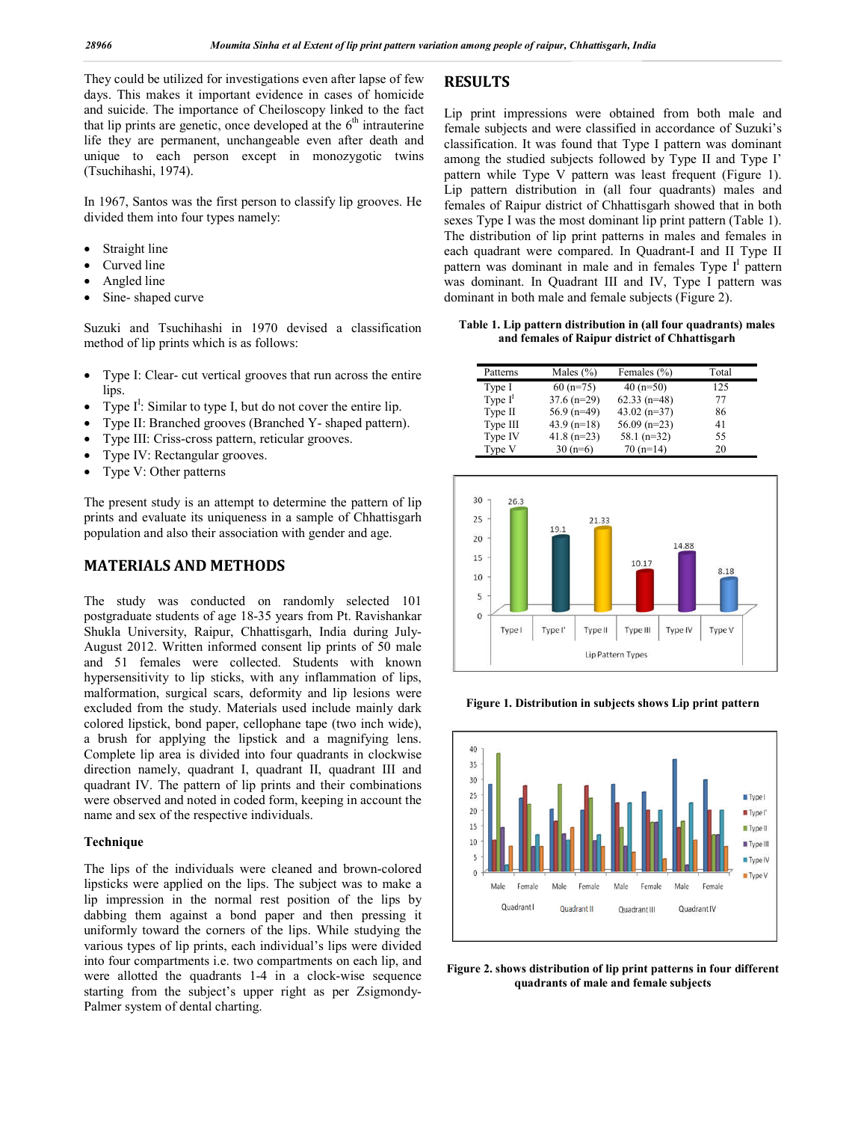They could be utilized for investigations even after lapse of few days. This makes it important evidence in cases of homicide and suicide. The importance of Cheiloscopy linked to the fact that lip prints are genetic, once developed at the  $6<sup>th</sup>$  intrauterine life they are permanent, unchangeable even after death and unique to each person except in monozygotic twins (Tsuchihashi, 1974).

In 1967, Santos was the first person to classify lip grooves. He divided them into four types namely:

- Straight line
- Curved line
- Angled line
- Sine- shaped curve

Suzuki and Tsuchihashi in 1970 devised a classification method of lip prints which is as follows:

- Type I: Clear- cut vertical grooves that run across the entire lips.
- Type  $I^I$ : Similar to type I, but do not cover the entire lip.
- Type II: Branched grooves (Branched Y- shaped pattern).
- Type III: Criss-cross pattern, reticular grooves.
- Type IV: Rectangular grooves.
- Type V: Other patterns

The present study is an attempt to determine the pattern of lip prints and evaluate its uniqueness in a sample of Chhattisgarh population and also their association with gender and age.

## **MATERIALS AND METHODS**

The study was conducted on randomly selected 101 postgraduate students of age 18-35 years from Pt. Ravishankar Shukla University, Raipur, Chhattisgarh, India during July-August 2012. Written informed consent lip prints of 50 male and 51 females were collected. Students with known hypersensitivity to lip sticks, with any inflammation of lips, malformation, surgical scars, deformity and lip lesions were excluded from the study. Materials used include mainly dark colored lipstick, bond paper, cellophane tape (two inch wide), a brush for applying the lipstick and a magnifying lens. Complete lip area is divided into four quadrants in clockwise direction namely, quadrant I, quadrant II, quadrant III and quadrant IV. The pattern of lip prints and their combinations were observed and noted in coded form, keeping in account the name and sex of the respective individuals.

#### **Technique**

The lips of the individuals were cleaned and brown-colored lipsticks were applied on the lips. The subject was to make a lip impression in the normal rest position of the lips by dabbing them against a bond paper and then pressing it uniformly toward the corners of the lips. While studying the various types of lip prints, each individual's lips were divided into four compartments i.e. two compartments on each lip, and were allotted the quadrants 1-4 in a clock-wise sequence starting from the subject's upper right as per Zsigmondy-Palmer system of dental charting.

### **RESULTS**

Lip print impressions were obtained from both male and female subjects and were classified in accordance of Suzuki's classification. It was found that Type I pattern was dominant among the studied subjects followed by Type II and Type I' pattern while Type V pattern was least frequent (Figure 1). Lip pattern distribution in (all four quadrants) males and females of Raipur district of Chhattisgarh showed that in both sexes Type I was the most dominant lip print pattern (Table 1). The distribution of lip print patterns in males and females in each quadrant were compared. In Quadrant-I and II Type II pattern was dominant in male and in females Type  $I^I$  pattern was dominant. In Quadrant III and IV, Type I pattern was dominant in both male and female subjects (Figure 2).

#### **Table 1. Lip pattern distribution in (all four quadrants) males and females of Raipur district of Chhattisgarh**

| Patterns  | Males $(\% )$ | Females (%)    | Total |
|-----------|---------------|----------------|-------|
| Type I    | $60(n=75)$    | $40(n=50)$     | 125   |
| Type $II$ | $37.6$ (n=29) | $62.33$ (n=48) | 77    |
| Type II   | $56.9$ (n=49) | $43.02 (n=37)$ | 86    |
| Type III  | $43.9 (n=18)$ | $56.09$ (n=23) | 41    |
| Type IV   | $41.8$ (n=23) | $58.1 (n=32)$  | 55    |
| Type V    | $30(n=6)$     | $70(n=14)$     | 20    |



**Figure 1. Distribution in subjects shows Lip print pattern**



**Figure 2. shows distribution of lip print patterns in four different quadrants of male and female subjects**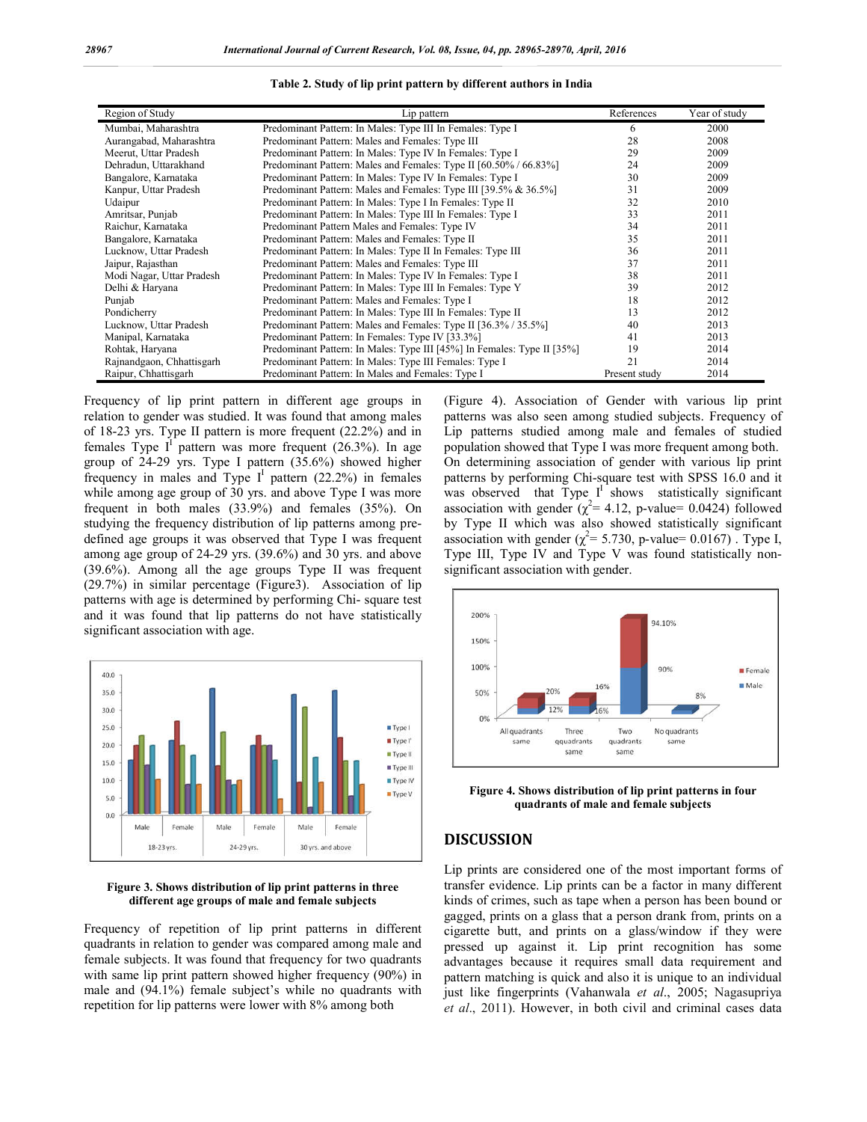| Region of Study           | Lip pattern                                                             | References    | Year of study |
|---------------------------|-------------------------------------------------------------------------|---------------|---------------|
| Mumbai, Maharashtra       | Predominant Pattern: In Males: Type III In Females: Type I              | 6             | 2000          |
| Aurangabad, Maharashtra   | Predominant Pattern: Males and Females: Type III                        | 28            | 2008          |
| Meerut, Uttar Pradesh     | Predominant Pattern: In Males: Type IV In Females: Type I               | 29            | 2009          |
| Dehradun, Uttarakhand     | Predominant Pattern: Males and Females: Type II [60.50% / 66.83%]       | 24            | 2009          |
| Bangalore, Karnataka      | Predominant Pattern: In Males: Type IV In Females: Type I               | 30            | 2009          |
| Kanpur, Uttar Pradesh     | Predominant Pattern: Males and Females: Type III [39.5% & 36.5%]        | 31            | 2009          |
| Udaipur                   | Predominant Pattern: In Males: Type I In Females: Type II               | 32            | 2010          |
| Amritsar, Punjab          | Predominant Pattern: In Males: Type III In Females: Type I              | 33            | 2011          |
| Raichur, Karnataka        | Predominant Pattern Males and Females: Type IV                          | 34            | 2011          |
| Bangalore, Karnataka      | Predominant Pattern: Males and Females: Type II                         | 35            | 2011          |
| Lucknow, Uttar Pradesh    | Predominant Pattern: In Males: Type II In Females: Type III             | 36            | 2011          |
| Jaipur, Rajasthan         | Predominant Pattern: Males and Females: Type III                        | 37            | 2011          |
| Modi Nagar, Uttar Pradesh | Predominant Pattern: In Males: Type IV In Females: Type I               | 38            | 2011          |
| Delhi & Haryana           | Predominant Pattern: In Males: Type III In Females: Type Y              | 39            | 2012          |
| Punjab                    | Predominant Pattern: Males and Females: Type I                          | 18            | 2012          |
| Pondicherry               | Predominant Pattern: In Males: Type III In Females: Type II             | 13            | 2012          |
| Lucknow, Uttar Pradesh    | Predominant Pattern: Males and Females: Type II [36.3% / 35.5%]         | 40            | 2013          |
| Manipal, Karnataka        | Predominant Pattern: In Females: Type IV [33.3%]                        | 41            | 2013          |
| Rohtak, Haryana           | Predominant Pattern: In Males: Type III [45%] In Females: Type II [35%] | 19            | 2014          |
| Rajnandgaon, Chhattisgarh | Predominant Pattern: In Males: Type III Females: Type I                 | 21            | 2014          |
| Raipur, Chhattisgarh      | Predominant Pattern: In Males and Females: Type I                       | Present study | 2014          |

**Table 2. Study of lip print pattern by different authors in India**

Frequency of lip print pattern in different age groups in relation to gender was studied. It was found that among males of 18-23 yrs. Type II pattern is more frequent (22.2%) and in females Type  $I^1$  pattern was more frequent (26.3%). In age group of 24-29 yrs. Type I pattern (35.6%) showed higher frequency in males and Type  $I^1$  pattern (22.2%) in females while among age group of 30 yrs. and above Type I was more frequent in both males (33.9%) and females (35%). On studying the frequency distribution of lip patterns among predefined age groups it was observed that Type I was frequent among age group of 24-29 yrs. (39.6%) and 30 yrs. and above (39.6%). Among all the age groups Type II was frequent (29.7%) in similar percentage (Figure3). Association of lip patterns with age is determined by performing Chi- square test and it was found that lip patterns do not have statistically significant association with age.



#### **Figure 3. Shows distribution of lip print patterns in three different age groups of male and female subjects**

Frequency of repetition of lip print patterns in different quadrants in relation to gender was compared among male and female subjects. It was found that frequency for two quadrants with same lip print pattern showed higher frequency (90%) in male and (94.1%) female subject's while no quadrants with repetition for lip patterns were lower with 8% among both

(Figure 4). Association of Gender with various lip print patterns was also seen among studied subjects. Frequency of Lip patterns studied among male and females of studied population showed that Type I was more frequent among both. On determining association of gender with various lip print patterns by performing Chi-square test with SPSS 16.0 and it was observed that Type  $I^{\dagger}$  shows statistically significant association with gender  $(\chi^2 = 4.12, \text{ p-value} = 0.0424)$  followed by Type II which was also showed statistically significant association with gender ( $\chi^2$  = 5.730, p-value= 0.0167). Type I, Type III, Type IV and Type V was found statistically nonsignificant association with gender.



**Figure 4. Shows distribution of lip print patterns in four quadrants of male and female subjects**

## **DISCUSSION**

Lip prints are considered one of the most important forms of transfer evidence. Lip prints can be a factor in many different kinds of crimes, such as tape when a person has been bound or gagged, prints on a glass that a person drank from, prints on a cigarette butt, and prints on a glass/window if they were pressed up against it. Lip print recognition has some advantages because it requires small data requirement and pattern matching is quick and also it is unique to an individual just like fingerprints (Vahanwala *et al*., 2005; Nagasupriya *et al*., 2011). However, in both civil and criminal cases data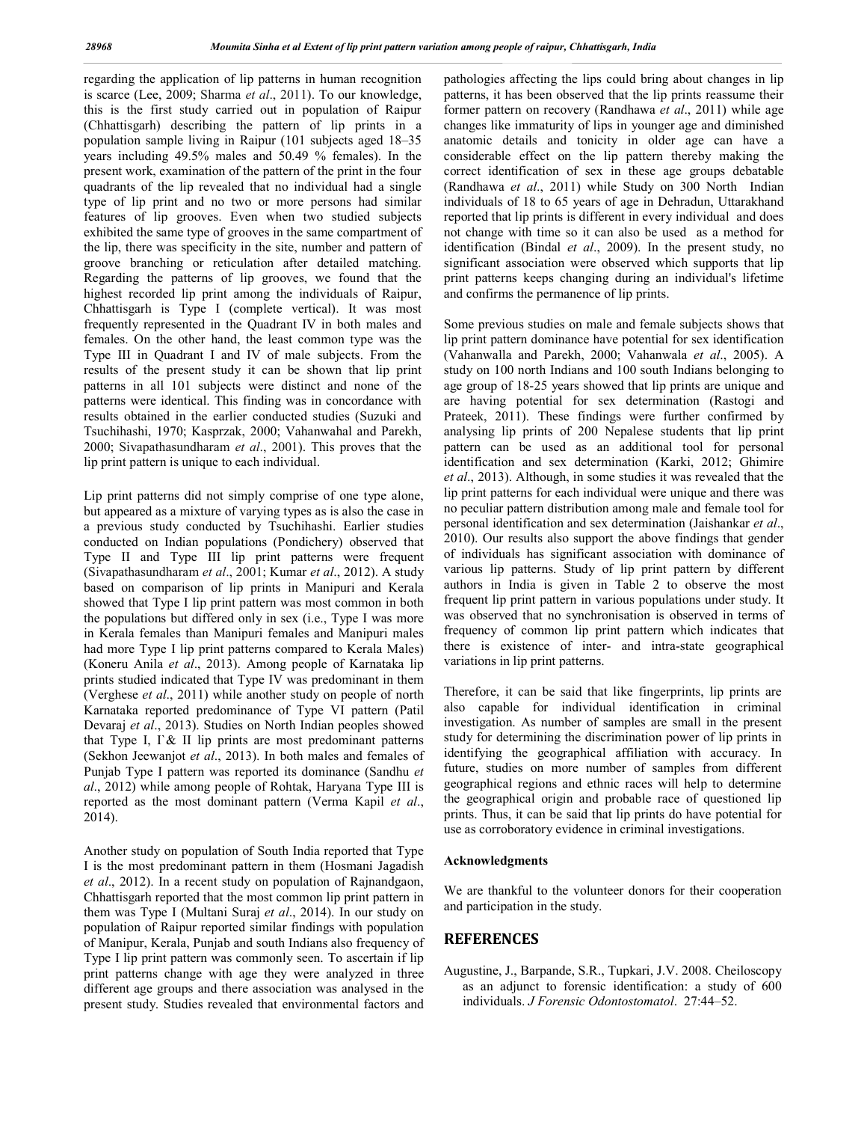regarding the application of lip patterns in human recognition is scarce (Lee, 2009; Sharma *et al*., 2011). To our knowledge, this is the first study carried out in population of Raipur (Chhattisgarh) describing the pattern of lip prints in a population sample living in Raipur (101 subjects aged 18–35 years including 49.5% males and 50.49 % females). In the present work, examination of the pattern of the print in the four quadrants of the lip revealed that no individual had a single type of lip print and no two or more persons had similar features of lip grooves. Even when two studied subjects exhibited the same type of grooves in the same compartment of the lip, there was specificity in the site, number and pattern of groove branching or reticulation after detailed matching. Regarding the patterns of lip grooves, we found that the highest recorded lip print among the individuals of Raipur, Chhattisgarh is Type I (complete vertical). It was most frequently represented in the Quadrant IV in both males and females. On the other hand, the least common type was the Type III in Quadrant I and IV of male subjects. From the results of the present study it can be shown that lip print patterns in all 101 subjects were distinct and none of the patterns were identical. This finding was in concordance with results obtained in the earlier conducted studies (Suzuki and Tsuchihashi, 1970; Kasprzak, 2000; Vahanwahal and Parekh, 2000; Sivapathasundharam *et al*., 2001). This proves that the lip print pattern is unique to each individual.

Lip print patterns did not simply comprise of one type alone, but appeared as a mixture of varying types as is also the case in a previous study conducted by Tsuchihashi. Earlier studies conducted on Indian populations (Pondichery) observed that Type II and Type III lip print patterns were frequent (Sivapathasundharam *et al*., 2001; Kumar *et al*., 2012). A study based on comparison of lip prints in Manipuri and Kerala showed that Type I lip print pattern was most common in both the populations but differed only in sex (i.e., Type I was more in Kerala females than Manipuri females and Manipuri males had more Type I lip print patterns compared to Kerala Males) (Koneru Anila *et al*., 2013). Among people of Karnataka lip prints studied indicated that Type IV was predominant in them (Verghese *et al*., 2011) while another study on people of north Karnataka reported predominance of Type VI pattern (Patil Devaraj *et al*., 2013). Studies on North Indian peoples showed that Type I,  $\Gamma \&$  II lip prints are most predominant patterns (Sekhon Jeewanjot *et al*., 2013). In both males and females of Punjab Type I pattern was reported its dominance (Sandhu *et al*., 2012) while among people of Rohtak, Haryana Type III is reported as the most dominant pattern (Verma Kapil *et al*., 2014).

Another study on population of South India reported that Type I is the most predominant pattern in them (Hosmani Jagadish *et al*., 2012). In a recent study on population of Rajnandgaon, Chhattisgarh reported that the most common lip print pattern in them was Type I (Multani Suraj *et al*., 2014). In our study on population of Raipur reported similar findings with population of Manipur, Kerala, Punjab and south Indians also frequency of Type I lip print pattern was commonly seen. To ascertain if lip print patterns change with age they were analyzed in three different age groups and there association was analysed in the present study. Studies revealed that environmental factors and

pathologies affecting the lips could bring about changes in lip patterns, it has been observed that the lip prints reassume their former pattern on recovery (Randhawa *et al*., 2011) while age changes like immaturity of lips in younger age and diminished anatomic details and tonicity in older age can have a considerable effect on the lip pattern thereby making the correct identification of sex in these age groups debatable (Randhawa *et al*., 2011) while Study on 300 North Indian individuals of 18 to 65 years of age in Dehradun, Uttarakhand reported that lip prints is different in every individual and does not change with time so it can also be used as a method for identification (Bindal *et al*., 2009). In the present study, no significant association were observed which supports that lip print patterns keeps changing during an individual's lifetime and confirms the permanence of lip prints.

Some previous studies on male and female subjects shows that lip print pattern dominance have potential for sex identification (Vahanwalla and Parekh, 2000; Vahanwala *et al*., 2005). A study on 100 north Indians and 100 south Indians belonging to age group of 18-25 years showed that lip prints are unique and are having potential for sex determination (Rastogi and Prateek, 2011). These findings were further confirmed by analysing lip prints of 200 Nepalese students that lip print pattern can be used as an additional tool for personal identification and sex determination (Karki, 2012; Ghimire *et al*., 2013). Although, in some studies it was revealed that the lip print patterns for each individual were unique and there was no peculiar pattern distribution among male and female tool for personal identification and sex determination (Jaishankar *et al*., 2010). Our results also support the above findings that gender of individuals has significant association with dominance of various lip patterns. Study of lip print pattern by different authors in India is given in Table 2 to observe the most frequent lip print pattern in various populations under study. It was observed that no synchronisation is observed in terms of frequency of common lip print pattern which indicates that there is existence of inter- and intra-state geographical variations in lip print patterns.

Therefore, it can be said that like fingerprints, lip prints are also capable for individual identification in criminal investigation. As number of samples are small in the present study for determining the discrimination power of lip prints in identifying the geographical affiliation with accuracy. In future, studies on more number of samples from different geographical regions and ethnic races will help to determine the geographical origin and probable race of questioned lip prints. Thus, it can be said that lip prints do have potential for use as corroboratory evidence in criminal investigations.

#### **Acknowledgments**

We are thankful to the volunteer donors for their cooperation and participation in the study.

#### **REFERENCES**

Augustine, J., Barpande, S.R., Tupkari, J.V. 2008. Cheiloscopy as an adjunct to forensic identification: a study of 600 individuals. *J Forensic Odontostomatol*. 27:44–52.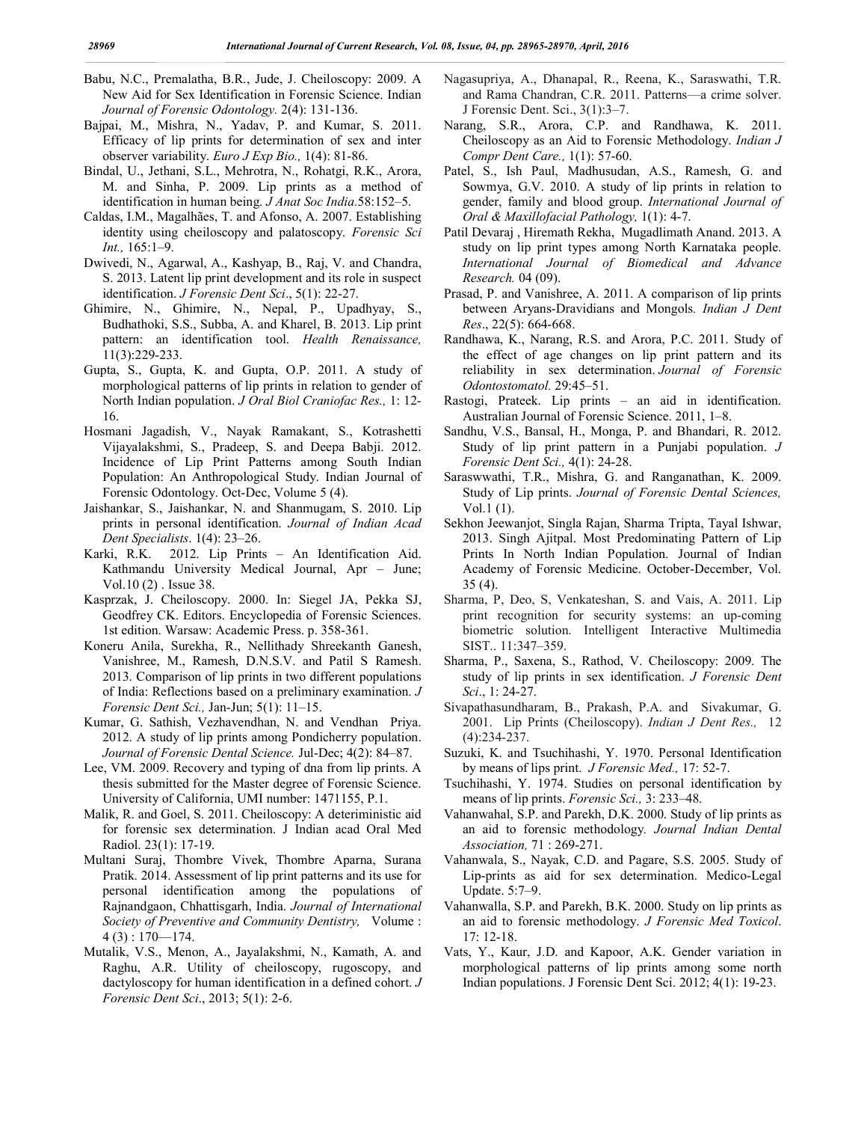- Babu, N.C., Premalatha, B.R., Jude, J. Cheiloscopy: 2009. A New Aid for Sex Identification in Forensic Science. Indian *Journal of Forensic Odontology.* 2(4): 131-136.
- Bajpai, M., Mishra, N., Yadav, P. and Kumar, S. 2011. Efficacy of lip prints for determination of sex and inter observer variability. *Euro J Exp Bio.,* 1(4): 81-86.
- Bindal, U., Jethani, S.L., Mehrotra, N., Rohatgi, R.K., Arora, M. and Sinha, P. 2009. Lip prints as a method of identification in human being. *J Anat Soc India.*58:152–5.
- Caldas, I.M., Magalhães, T. and Afonso, A. 2007. Establishing identity using cheiloscopy and palatoscopy. *Forensic Sci Int.,* 165:1–9.
- Dwivedi, N., Agarwal, A., Kashyap, B., Raj, V. and Chandra, S. 2013. Latent lip print development and its role in suspect identification. *J Forensic Dent Sci*., 5(1): 22-27.
- Ghimire, N., Ghimire, N., Nepal, P., Upadhyay, S., Budhathoki, S.S., Subba, A. and Kharel, B. 2013. Lip print pattern: an identification tool. *Health Renaissance,* 11(3):229-233.
- Gupta, S., Gupta, K. and Gupta, O.P. 2011. A study of morphological patterns of lip prints in relation to gender of North Indian population. *J Oral Biol Craniofac Res.,* 1: 12- 16.
- Hosmani Jagadish, V., Nayak Ramakant, S., Kotrashetti Vijayalakshmi, S., Pradeep, S. and Deepa Babji. 2012. Incidence of Lip Print Patterns among South Indian Population: An Anthropological Study. Indian Journal of Forensic Odontology. Oct-Dec, Volume 5 (4).
- Jaishankar, S., Jaishankar, N. and Shanmugam, S. 2010. Lip prints in personal identification. *Journal of Indian Acad Dent Specialists*. 1(4): 23–26.
- Karki, R.K. 2012. Lip Prints An Identification Aid. Kathmandu University Medical Journal, Apr – June; Vol.10 (2) . Issue 38.
- Kasprzak, J. Cheiloscopy. 2000. In: Siegel JA, Pekka SJ, Geodfrey CK. Editors. Encyclopedia of Forensic Sciences. 1st edition. Warsaw: Academic Press. p. 358-361.
- Koneru Anila, Surekha, R., Nellithady Shreekanth Ganesh, Vanishree, M., Ramesh, D.N.S.V. and Patil S Ramesh. 2013. Comparison of lip prints in two different populations of India: Reflections based on a preliminary examination. *J Forensic Dent Sci.,* Jan-Jun; 5(1): 11–15.
- Kumar, G. Sathish, Vezhavendhan, N. and Vendhan Priya. 2012. A study of lip prints among Pondicherry population. *Journal of Forensic Dental Science.* Jul-Dec; 4(2): 84–87.
- Lee, VM. 2009. Recovery and typing of dna from lip prints. A thesis submitted for the Master degree of Forensic Science. University of California, UMI number: 1471155, P.1.
- Malik, R. and Goel, S. 2011. Cheiloscopy: A deteriministic aid for forensic sex determination. J Indian acad Oral Med Radiol. 23(1): 17-19.
- Multani Suraj, Thombre Vivek, Thombre Aparna, Surana Pratik. 2014. Assessment of lip print patterns and its use for personal identification among the populations of Rajnandgaon, Chhattisgarh, India. *Journal of International Society of Preventive and Community Dentistry,* Volume :  $4(3): 170 - 174.$
- Mutalik, V.S., Menon, A., Jayalakshmi, N., Kamath, A. and Raghu, A.R. Utility of cheiloscopy, rugoscopy, and dactyloscopy for human identification in a defined cohort. *J Forensic Dent Sci*., 2013; 5(1): 2-6.
- Nagasupriya, A., Dhanapal, R., Reena, K., Saraswathi, T.R. and Rama Chandran, C.R. 2011. Patterns—a crime solver. J Forensic Dent. Sci., 3(1):3–7.
- Narang, S.R., Arora, C.P. and Randhawa, K. 2011. Cheiloscopy as an Aid to Forensic Methodology. *Indian J Compr Dent Care.,* 1(1): 57-60.
- Patel, S., Ish Paul, Madhusudan, A.S., Ramesh, G. and Sowmya, G.V. 2010. A study of lip prints in relation to gender, family and blood group. *International Journal of Oral & Maxillofacial Pathology,* 1(1): 4-7.
- Patil Devaraj , Hiremath Rekha, Mugadlimath Anand. 2013. A study on lip print types among North Karnataka people. *International Journal of Biomedical and Advance Research.* 04 (09).
- Prasad, P. and Vanishree, A. 2011. A comparison of lip prints between Aryans-Dravidians and Mongols*. Indian J Dent Res*., 22(5): 664-668.
- Randhawa, K., Narang, R.S. and Arora, P.C. 2011. Study of the effect of age changes on lip print pattern and its reliability in sex determination. *Journal of Forensic Odontostomatol.* 29:45–51.
- Rastogi, Prateek. Lip prints an aid in identification. Australian Journal of Forensic Science. 2011, 1–8.
- Sandhu, V.S., Bansal, H., Monga, P. and Bhandari, R. 2012. Study of lip print pattern in a Punjabi population. *J Forensic Dent Sci.,* 4(1): 24-28.
- Saraswwathi, T.R., Mishra, G. and Ranganathan, K. 2009. Study of Lip prints. *Journal of Forensic Dental Sciences,* Vol.1 (1).
- Sekhon Jeewanjot, Singla Rajan, Sharma Tripta, Tayal Ishwar, 2013. Singh Ajitpal. Most Predominating Pattern of Lip Prints In North Indian Population. Journal of Indian Academy of Forensic Medicine. October-December, Vol. 35 (4).
- Sharma, P, Deo, S, Venkateshan, S. and Vais, A. 2011. Lip print recognition for security systems: an up-coming biometric solution. Intelligent Interactive Multimedia SIST.. 11:347–359.
- Sharma, P., Saxena, S., Rathod, V. Cheiloscopy: 2009. The study of lip prints in sex identification. *J Forensic Dent Sci*., 1: 24-27.
- Sivapathasundharam, B., Prakash, P.A. and Sivakumar, G. 2001. Lip Prints (Cheiloscopy). *Indian J Dent Res.,* 12 (4):234-237.
- Suzuki, K. and Tsuchihashi, Y. 1970. Personal Identification by means of lips print. *J Forensic Med.,* 17: 52-7.
- Tsuchihashi, Y. 1974. Studies on personal identification by means of lip prints. *Forensic Sci.,* 3: 233–48.
- Vahanwahal, S.P. and Parekh, D.K. 2000. Study of lip prints as an aid to forensic methodology*. Journal Indian Dental Association,* 71 : 269-271.
- Vahanwala, S., Nayak, C.D. and Pagare, S.S. 2005. Study of Lip-prints as aid for sex determination. Medico-Legal Update. 5:7–9.
- Vahanwalla, S.P. and Parekh, B.K. 2000. Study on lip prints as an aid to forensic methodology. *J Forensic Med Toxicol*. 17: 12-18.
- Vats, Y., Kaur, J.D. and Kapoor, A.K. Gender variation in morphological patterns of lip prints among some north Indian populations. J Forensic Dent Sci. 2012; 4(1): 19-23.